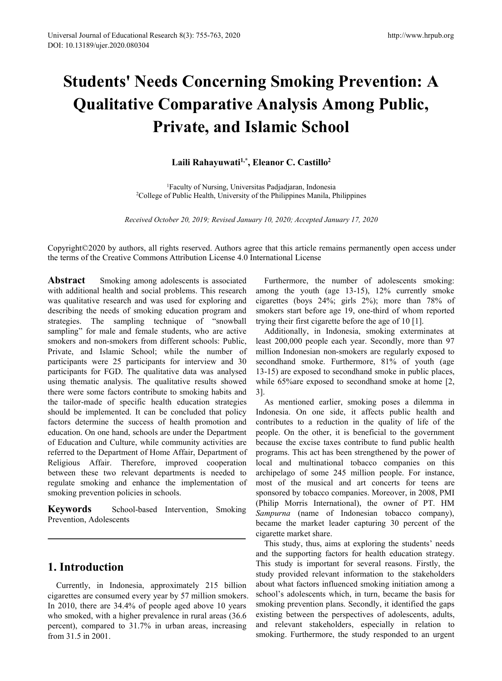# **Students' Needs Concerning Smoking Prevention: A Qualitative Comparative Analysis Among Public, Private, and Islamic School Land Schube Analysis Among Public,**<br> **Laili Rahayuwati<sup>1,\*</sup>, Eleanor C. Castillo<sup>2</sup><br>
<b>Laili Rahayuwati<sup>1,\*</sup>, Eleanor C. Castillo<sup>2</sup><br>
Traculty of Nursing, Universitas Padjadjaran, Indonesia<br>
Public Health, University of th 1s Concerning Smoking Prevention:**<br> **Comparative Analysis Among Public**<br> **rivate, and Islamic School**<br>
Laili Rahayuwati<sup>1,\*</sup>, Eleanor C. Castillo<sup>2</sup><br>
<sup>IFaculty of Nursing, Universitas Padjadjaran, Indonesia<br>
of Public Hea</sup> Experience of Public,<br>
2Comparative Analysis Among Public,<br>
Private, and Islamic School<br>
Laili Rahayuwati<sup>1,\*</sup>, Eleanor C. Castillo<sup>2</sup><br>
<sup>1</sup>Faculty of Nursing, Universita Padjadjaran, Indonesia<br>
<sup>2</sup>College of Public Health, **Private, and Islamic School**<br>
Laili Rahayuwati<sup>1,\*</sup>, Eleanor C. Castillo<sup>2</sup><br>
<sup>1</sup>Faculty of Nursing, Universitas Padjadjaran, Indonesia<br>
<sup>2</sup>College of Public Health, University of the Philippines Manila, Philippines<br> *Rece*

Copyright©2020 by authors, all rights reserved. Authors agree that this article remains permanently open access under the terms of the Creative Commons Attribution License 4.0 International License

Abstract Smoking among adolescents is associated with additional health and social problems. This research was qualitative research and was used for exploring and describing the needs of smoking education program and strategies. The sampling technique of "snowball sampling" for male and female students, who are active smokers and non-smokers from different schools: Public, Private, and Islamic School; while the number of participants were 25 participants for interview and 30 participants for FGD. The qualitative data was analysed using thematic analysis. The qualitative results showed there were some factors contribute to smoking habits and 3. the tailor-made of specific health education strategies should be implemented. It can be concluded that policy factors determine the success of health promotion and education. On one hand, schools are under the Department of Education and Culture, while community activities are referred to the Department of Home Affair, Department of Religious Affair. Therefore, improved cooperation between these two relevant departments is needed to regulate smoking and enhance the implementation of smoking prevention policies in schools.

**Keywords** School-based Intervention, Smoking Prevention, Adolescents

# **1. Introduction**

Currently, in Indonesia, approximately 215 billion cigarettes are consumed every year by 57 million smokers. In 2010, there are 34.4% of people aged above 10 years who smoked, with a higher prevalence in rural areas (36.6 percent), compared to 31.7% in urban areas, increasing from 31.5 in 2001.

Furthermore, the number of adolescents smoking: among the youth (age 13-15), 12% currently smoke cigarettes (boys 24%; girls 2%); more than 78% of smokers start before age 19, one-third of whom reported trying their first cigarette before the age of 10 [1].

Additionally, in Indonesia, smoking exterminates at least 200,000 people each year. Secondly, more than 97 million Indonesian non-smokers are regularly exposed to secondhand smoke. Furthermore, 81% of youth (age 13-15) are exposed to secondhand smoke in public places, while 65% are exposed to secondhand smoke at home [2,

As mentioned earlier, smoking poses a dilemma in Indonesia. On one side, it affects public health and contributes to a reduction in the quality of life of the people. On the other, it is beneficial to the government because the excise taxes contribute to fund public health programs. This act has been strengthened by the power of local and multinational tobacco companies on this archipelago of some 245 million people. For instance, most of the musical and art concerts for teens are sponsored by tobacco companies. Moreover, in 2008, PMI (Philip Morris International), the owner of PT. HM *Sampurna* (name of Indonesian tobacco company), became the market leader capturing 30 percent of the cigarette market share.

This study, thus, aims at exploring the students' needs and the supporting factors for health education strategy. This study is important for several reasons. Firstly, the study provided relevant information to the stakeholders about what factors influenced smoking initiation among a school's adolescents which, in turn, became the basis for smoking prevention plans. Secondly, it identified the gaps existing between the perspectives of adolescents, adults, and relevant stakeholders, especially in relation to smoking. Furthermore, the study responded to an urgent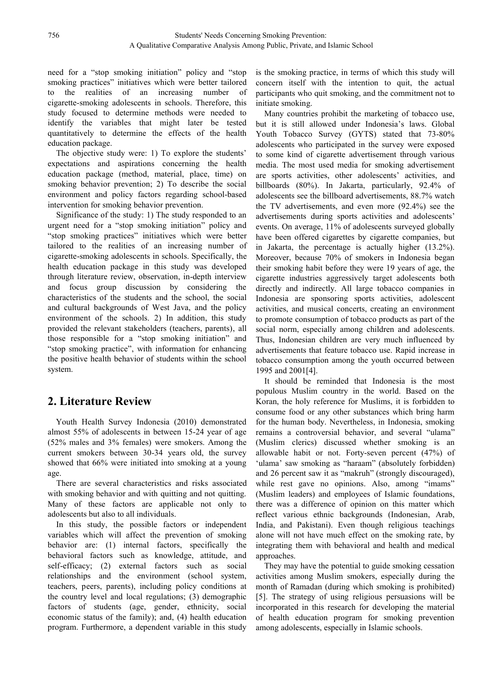need for a "stop smoking initiation" policy and "stop smoking practices" initiatives which were better tailored to the realities of an increasing number of cigarette-smoking adolescents in schools. Therefore, this study focused to determine methods were needed to identify the variables that might later be tested quantitatively to determine the effects of the health education package.

The objective study were: 1) To explore the students' expectations and aspirations concerning the health education package (method, material, place, time) on smoking behavior prevention; 2) To describe the social environment and policy factors regarding school-based intervention for smoking behavior prevention.

Significance of the study: 1) The study responded to an urgent need for a "stop smoking initiation" policy and "stop smoking practices" initiatives which were better tailored to the realities of an increasing number of cigarette-smoking adolescents in schools. Specifically, the health education package in this study was developed through literature review, observation, in-depth interview and focus group discussion by considering the characteristics of the students and the school, the social and cultural backgrounds of West Java, and the policy environment of the schools. 2) In addition, this study provided the relevant stakeholders (teachers, parents), all those responsible for a "stop smoking initiation" and "stop smoking practice", with information for enhancing the positive health behavior of students within the school system.

# **2. Literature Review**

Youth Health Survey Indonesia (2010) demonstrated almost 55% of adolescents in between 15-24 year of age (52% males and 3% females) were smokers. Among the current smokers between 30-34 years old, the survey showed that 66% were initiated into smoking at a young

age.<br>There are several characteristics and risks associated with smoking behavior and with quitting and not quitting. Many of these factors are applicable not only to adolescents but also to all individuals.

In this study, the possible factors or independent variables which will affect the prevention of smoking behavior are: (1) internal factors, specifically the behavioral factors such as knowledge, attitude, and self-efficacy; (2) external factors such as social relationships and the environment (school system, teachers, peers, parents), including policy conditions at the country level and local regulations; (3) demographic factors of students (age, gender, ethnicity, social economic status of the family); and, (4) health education program. Furthermore, a dependent variable in this study is the smoking practice, in terms of which this study will concern itself with the intention to quit, the actual participants who quit smoking, and the commitment not to initiate smoking.

Many countries prohibit the marketing of tobacco use, but it is still allowed under Indonesia's laws. Global Youth Tobacco Survey (GYTS) stated that 73-80% adolescents who participated in the survey were exposed to some kind of cigarette advertisement through various media. The most used media for smoking advertisement are sports activities, other adolescents' activities, and billboards (80%). In Jakarta, particularly, 92.4% of adolescents see the billboard advertisements, 88.7% watch the TV advertisements, and even more (92.4%) see the advertisements during sports activities and adolescents' events. On average, 11% of adolescents surveyed globally have been offered cigarettes by cigarette companies, but in Jakarta, the percentage is actually higher  $(13.2\%)$ . Moreover, because 70% of smokers in Indonesia began their smoking habit before they were 19 years of age, the cigarette industries aggressively target adolescents both directly and indirectly. All large tobacco companies in Indonesia are sponsoring sports activities, adolescent activities, and musical concerts, creating an environment to promote consumption of tobacco products as part of the social norm, especially among children and adolescents. Thus, Indonesian children are very much influenced by advertisements that feature tobacco use. Rapid increase in tobacco consumption among the youth occurred between 1995 and 2001[4].

It should be reminded that Indonesia is the most populous Muslim country in the world. Based on the Koran, the holy reference for Muslims, it is forbidden to consume food or any other substances which bring harm for the human body. Nevertheless, in Indonesia, smoking remains a controversial behavior, and several "ulama" (Muslim clerics) discussed whether smoking is an allowable habit or not. Forty-seven percent (47%) of 'ulama' saw smoking as "haraam" (absolutely forbidden) and 26 percent saw it as "makruh" (strongly discouraged), while rest gave no opinions. Also, among "imams" (Muslim leaders) and employees of Islamic foundations, there was a difference of opinion on this matter which reflect various ethnic backgrounds (Indonesian, Arab, India, and Pakistani). Even though religious teachings alone will not have much effect on the smoking rate, by integrating them with behavioral and health and medical approaches.

They may have the potential to guide smoking cessation activities among Muslim smokers, especially during the month of Ramadan (during which smoking is prohibited) [5]. The strategy of using religious persuasions will be incorporated in this research for developing the material of health education program for smoking prevention among adolescents, especially in Islamic schools.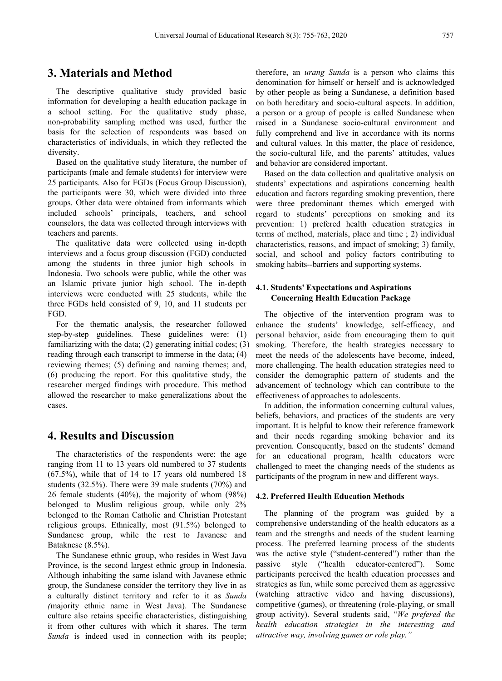# **3. Materials and Method**

The descriptive qualitative study provided basic information for developing a health education package in a school setting. For the qualitative study phase, non-probability sampling method was used, further the basis for the selection of respondents was based on characteristics of individuals, in which they reflected the diversity.

Based on the qualitative study literature, the number of participants (male and female students) for interview were 25 participants. Also for FGDs (Focus Group Discussion), the participants were 30, which were divided into three groups. Other data were obtained from informants which included schools' principals, teachers, and school counselors, the data was collected through interviews with teachers and parents.

The qualitative data were collected using in-depth interviews and a focus group discussion (FGD) conducted among the students in three junior high schools in Indonesia. Two schools were public, while the other was an Islamic private junior high school. The in-depth interviews were conducted with 25 students, while the three FGDs held consisted of 9, 10, and 11 students per FGD.

For the thematic analysis, the researcher followed step-by-step guidelines. These guidelines were: (1) familiarizing with the data; (2) generating initial codes; (3) reading through each transcript to immerse in the data; (4) reviewing themes; (5) defining and naming themes; and, (6) producing the report. For this qualitative study, the researcher merged findings with procedure. This method allowed the researcher to make generalizations about the cases.

# **4. Results and Discussion**

The characteristics of the respondents were: the age ranging from 11 to 13 years old numbered to 37 students (67.5%), while that of 14 to 17 years old numbered 18 students (32.5%). There were 39 male students (70%) and 26 female students (40%), the majority of whom (98%) belonged to Muslim religious group, while only 2% belonged to the Roman Catholic and Christian Protestant religious groups. Ethnically, most (91.5%) belonged to Sundanese group, while the rest to Javanese and Bataknese (8.5%).

The Sundanese ethnic group, who resides in West Java Province, is the second largest ethnic group in Indonesia. passive Although inhabiting the same island with Javanese ethnic group, the Sundanese consider the territory they live in as a culturally distinct territory and refer to it as *Sunda (*majority ethnic name in West Java). The Sundanese culture also retains specific characteristics, distinguishing it from other cultures with which it shares. The term *Sunda* is indeed used in connection with its people;

therefore, an *urang Sunda* is a person who claims this denomination for himself or herself and is acknowledged by other people as being a Sundanese, a definition based on both hereditary and socio-cultural aspects. In addition, a person or a group of people is called Sundanese when raised in a Sundanese socio-cultural environment and fully comprehend and live in accordance with its norms and cultural values. In this matter, the place of residence, the socio-cultural life, and the parents' attitudes, values and behavior are considered important.

Based on the data collection and qualitative analysis on students' expectations and aspirations concerning health education and factors regarding smoking prevention, there were three predominant themes which emerged with regard to students' perceptions on smoking and its prevention: 1) prefered health education strategies in terms of method, materials, place and time ; 2) individual characteristics, reasons, and impact of smoking; 3) family, social, and school and policy factors contributing to smoking habits--barriers and supporting systems.

#### **4.1. Students' Expectations and Aspirations Concerning Health Education Package**

The objective of the intervention program was to enhance the students' knowledge, self-efficacy, and personal behavior, aside from encouraging them to quit smoking. Therefore, the health strategies necessary to meet the needs of the adolescents have become, indeed, more challenging. The health education strategies need to consider the demographic pattern of students and the advancement of technology which can contribute to the effectiveness of approaches to adolescents.

In addition, the information concerning cultural values, beliefs, behaviors, and practices of the students are very important. It is helpful to know their reference framework and their needs regarding smoking behavior and its prevention. Consequently, based on the students' demand for an educational program, health educators were challenged to meet the changing needs of the students as participants of the program in new and different ways.

#### **4.2. Preferred Health Education Methods**

The planning of the program was guided by a comprehensive understanding of the health educators as a team and the strengths and needs of the student learning process. The preferred learning process of the students was the active style ("student-centered") rather than the style ("health educator-centered"). Some participants perceived the health education processes and strategies as fun, while some perceived them as aggressive (watching attractive video and having discussions), competitive (games), or threatening (role-playing, or small group activity). Several students said, "*We prefered the health education strategies in the interesting and attractive way, involving games or role play."*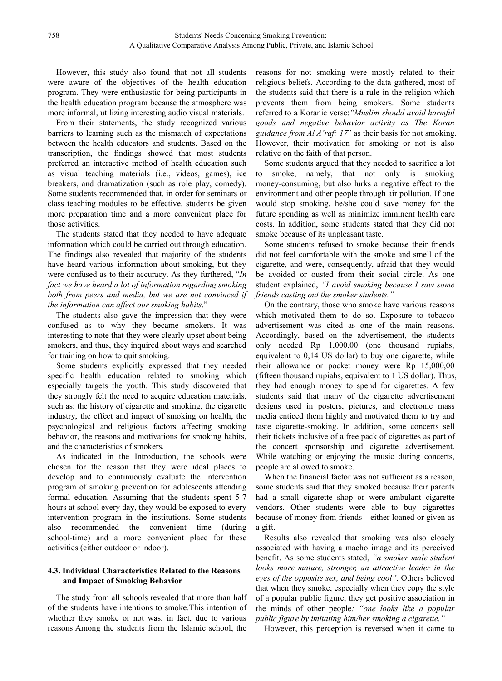However, this study also found that not all students were aware of the objectives of the health education program. They were enthusiastic for being participants in the health education program because the atmosphere was more informal, utilizing interesting audio visual materials.

From their statements, the study recognized various barriers to learning such as the mismatch of expectations between the health educators and students. Based on the transcription, the findings showed that most students preferred an interactive method of health education such as visual teaching materials (i.e., videos, games), ice breakers, and dramatization (such as role play, comedy). Some students recommended that, in order for seminars or class teaching modules to be effective, students be given more preparation time and a more convenient place for those activities.

The students stated that they needed to have adequate information which could be carried out through education. The findings also revealed that majority of the students have heard various information about smoking, but they were confused as to their accuracy. As they furthered, "*In fact we have heard a lot of information regarding smoking both from peers and media, but we are not convinced if the information can af ectour smoking habits*."

The students also gave the impression that they were confused as to why they became smokers. It was interesting to note that they were clearly upset about being smokers, and thus, they inquired about ways and searched for training on how to quit smoking.

Some students explicitly expressed that they needed specific health education related to smoking which especially targets the youth. This study discovered that they strongly felt the need to acquire education materials, such as: the history of cigarette and smoking, the cigarette industry, the effect and impact of smoking on health, the psychological and religious factors affecting smoking behavior, the reasons and motivations for smoking habits, and the characteristics of smokers.

As indicated in the Introduction, the schools were chosen for the reason that they were ideal places to develop and to continuously evaluate the intervention program of smoking prevention for adolescents attending formal education. Assuming that the students spent 5-7 hours at school every day, they would be exposed to every intervention program in the institutions. Some students also recommended the convenient time (during school-time) and a more convenient place for these activities (either outdoor or indoor).

### **4.3. Individual Characteristics Related tothe Reasons and Impact of Smoking Behavior**

The study from all schools revealed that more than half of the students have intentions to smoke.This intention of whether they smoke or not was, in fact, due to various reasons.Among the students from the Islamic school, the

reasons for not smoking were mostly related to their religious beliefs. According to the data gathered, most of the students said that there is a rule in the religion which prevents them from being smokers. Some students referred to a Koranic verse:*"Muslim should avoid harmful goods and negative behavior activity as The Koran guidance from Al A'raf: 17*" as their basis for not smoking. However, their motivation for smoking or not is also relative on the faith of that person.

Some students argued that they needed to sacrifice a lot smoke, namely, that not only is smoking money-consuming, but also lurks a negative effect to the environment and other people through air pollution. If one would stop smoking, he/she could save money for the future spending as well as minimize imminent health care costs. In addition, some students stated that they did not smoke because of its unpleasant taste.

Some students refused to smoke because their friends did not feel comfortable with the smoke and smell of the cigarette, and were, consequently, afraid that they would be avoided or ousted from their social circle. As one student explained, *"I avoid smoking because I saw some friends casting out the smoker students."*

On the contrary, those who smoke have various reasons which motivated them to do so. Exposure to tobacco advertisement was cited as one of the main reasons. Accordingly, based on the advertisement, the students only needed Rp 1,000.00 (one thousand rupiahs, equivalent to 0,14 US dollar) to buy one cigarette, while their allowance or pocket money were Rp 15,000,00 (fifteen thousand rupiahs, equivalent to 1 US dollar).Thus, they had enough money to spend for cigarettes. A few students said that many of the cigarette advertisement designs used in posters, pictures, and electronic mass media enticed them highly and motivated them to try and taste cigarette-smoking. In addition, some concerts sell their tickets inclusive of a free pack of cigarettes as part of the concert sponsorship and cigarette advertisement. While watching or enjoying the music during concerts, people are allowed to smoke.

When the financial factor was not sufficient as a reason. some students said that they smoked because their parents had a small cigarette shop or were ambulant cigarette vendors. Other students were able to buy cigarettes because of money from friends—either loaned or given as a gift.

Results also revealed that smoking was also closely associated with having a macho image and its perceived benefit. As some students stated, *"a smoker male student looks more mature, stronger, an attractive leader in the eyes of the opposite sex, and being cool"*. Others believed that when they smoke, especially when they copy the style of a popular public figure, they get positive association in the minds of other people*: "one looks like a popular public figure by imitating him/her smoking a cigarette."*

However, this perception is reversed when it came to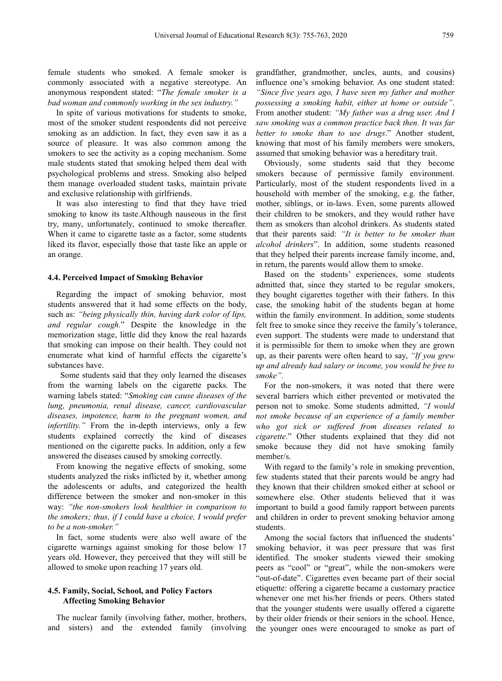female students who smoked. A female smoker is commonly associated with a negative stereotype. An anonymous respondent stated: "*The female smoker is a bad woman and commonly working in the sex industry."*

In spite of various motivations for students to smoke, most of the smoker student respondents did not perceive smoking as an addiction. In fact, they even saw it as a source of pleasure. It was also common among the smokers to see the activity as a coping mechanism. Some male students stated that smoking helped them deal with psychological problems and stress. Smoking also helped them manage overloaded student tasks, maintain private and exclusive relationship with girlfriends.

It was also interesting to find that they have tried smoking to know its taste.Although nauseous in the first try, many, unfortunately, continued to smoke thereafter. When it came to cigarette taste as a factor, some students liked its flavor, especially those that taste like an apple or an orange.

#### **4.4. Perceived Impact of Smoking Behavior**

Regarding the impact of smoking behavior, most students answered that it had some effects on the body, such as: *"being physically thin, having dark color of lips, and regular cough.*" Despite the knowledge in the memorization stage, little did they know the real hazards that smoking can impose on their health. They could not enumerate what kind of harmful effects the cigarette's substances have.

Some students said that they only learned the diseases from the warning labels on the cigarette packs. The warning labels stated: "*Smoking can cause diseases of the lung, pneumonia, renal disease, cancer, cardiovascular diseases, impotence, harm to the pregnant women, and infertility.*" From the in-depth interviews, only a few students explained correctly the kind of diseases mentioned on the cigarette packs. In addition, only a few answered the diseases caused by smoking correctly.

From knowing the negative effects of smoking, some students analyzed the risks inflicted by it, whether among the adolescents or adults, and categorized the health difference between the smoker and non-smoker in this way: *"the non-smokers look healthier in comparison to the smokers; thus, if I could have a choice, I would prefer to be a non-smoker."*

In fact, some students were also well aware of the cigarette warnings against smoking for those below 17 years old. However, they perceived that they will still be allowed to smoke upon reaching 17 years old.

#### **4.5. Family, Social, School, and Policy Factors Affecting Smoking Behavior**

The nuclear family (involving father, mother, brothers, and sisters) and the extended family (involving grandfather, grandmother, uncles, aunts, and cousins) influence one's smoking behavior. As one student stated: *"Since five years ago, I have seen my father and mother possessing a smoking habit, either at home or outside"*. From another student: *"My father was a drug user. And I saw smoking was a common practice back then. Itwas far better to smoke than to use drugs*." Another student, knowing that most of his family members were smokers, assumed that smoking behavior was a hereditary trait.

Obviously, some students said that they become smokers because of permissive family environment. Particularly, most of the student respondents lived in a household with member of the smoking, e.g. the father, mother, siblings, or in-laws. Even, some parents allowed their children to be smokers, and they would rather have them as smokers than alcohol drinkers. As students stated that their parents said: *"It is better to be smoker than alcohol drinkers*". In addition, some students reasoned that they helped their parents increase family income, and, in return, the parents would allow them to smoke.

Based on the students' experiences, some students admitted that, since they started to be regular smokers, they bought cigarettes together with their fathers. In this case, the smoking habit of the students began at home within the family environment. In addition, some students felt free to smoke since they receive the family's tolerance, even support. The students were made to understand that it is permissible for them to smoke when they are grown up, as their parents were often heard to say, *"If you grew up and already had salary or income, you would be free to smoke".*

For the non-smokers, it was noted that there were several barriers which either prevented or motivated the person not to smoke. Some students admitted, *"I would not smoke because of an experience of a family member who got sick or suf ered from diseases related to cigarette*." Other students explained that they did not smoke because they did not have smoking family member/s.

With regard to the family's role in smoking prevention, few students stated that their parents would be angry had they known that their children smoked either at school or somewhere else. Other students believed that it was important to build a good family rapport between parents and children in order to prevent smoking behavior among students.

Among the social factors that influenced the students' smoking behavior, it was peer pressure that was first identified. The smoker students viewed their smoking peers as "cool" or "great", while the non-smokers were "out-of-date". Cigarettes even became part of their social etiquette: offering a cigarette became a customary practice whenever one met his/her friends or peers. Others stated that the younger students were usually offered a cigarette by their older friends or their seniors in the school. Hence, the younger ones were encouraged to smoke as part of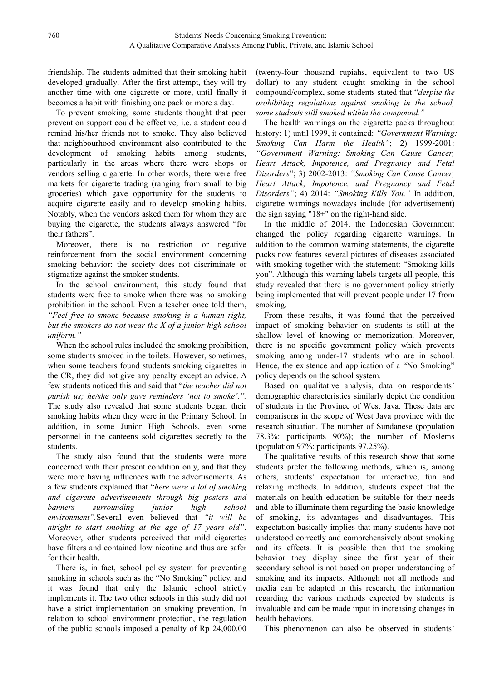friendship. The students admitted that their smoking habit developed gradually. After the first attempt, they will try another time with one cigarette or more, until finally it becomes a habit with finishing one pack or more a day.

To prevent smoking, some students thought that peer prevention support could be effective, i.e. a student could remind his/her friends not to smoke. They also believed that neighbourhood environment also contributed to the development of smoking habits among students, particularly in the areas where there were shops or vendors selling cigarette. In other words, there were free markets for cigarette trading (ranging from small to big groceries) which gave opportunity for the students to acquire cigarette easily and to develop smoking habits. Notably, when the vendors asked them for whom they are buying the cigarette, the students always answered "for their fathers".

Moreover, there is no restriction or negative reinforcement from the social environment concerning smoking behavior: the society does not discriminate or stigmatize against the smoker students.

In the school environment, this study found that students were free to smoke when there was no smoking prohibition in the school. Even a teacher once told them, *"Feel free to smoke because smoking is a human right, but the smokers do not wear the X of a junior high school uniform."*

When the school rules included the smoking prohibition, some students smoked in the toilets. However, sometimes, when some teachers found students smoking cigarettes in the CR, they did not give any penalty except an advice. A few students noticed this and said that "*the teacher did not punish us; he/she only gave reminders 'not to smoke'.".* The study also revealed that some students began their smoking habits when they were in the Primary School. In addition, in some Junior High Schools, even some personnel in the canteens sold cigarettes secretly to the students.

The study also found that the students were more concerned with their present condition only, and that they were more having influences with the advertisements. As a few students explained that "*here were a lot of smoking and cigarette advertisements through big posters and banners surrounding junior high school environment".*Several even believed that *"it will be alright to start smoking at the age of <sup>17</sup> years old"*.Moreover, other students perceived that mild cigarettes have filters and contained low nicotine and thus are safer for their health.

There is, in fact, school policy system for preventing smoking in schools such as the "No Smoking" policy, and it was found that only the Islamic school strictly implements it. The two other schools in this study did not have a strict implementation on smoking prevention. In relation to school environment protection, the regulation of the public schools imposed a penalty of Rp 24,000.00

(twenty-four thousand rupiahs, equivalent to two US dollar) to any student caught smoking in the school compound/complex, some students stated that "*despite the prohibiting regulations against smoking in the school, some students still smoked within the compound."*

The health warnings on the cigarette packs throughout history: 1) until 1999, it contained: *"Government Warning: Smoking Can Harm the Health"*; 2) 1999-2001: *"Government Warning: Smoking Can Cause Cancer, Heart Attack, Impotence, and Pregnancy and Fetal Disorders*"; 3) 2002-2013: *"Smoking Can Cause Cancer, Heart Attack, Impotence, and Pregnancy and Fetal Disorders"*; 4) 2014: *"Smoking Kills You."* In addition, cigarette warnings nowadays include (for advertisement) the sign saying "18+" on the right-hand side.

In the middle of 2014, the Indonesian Government changed the policy regarding cigarette warnings. In addition to the common warning statements, the cigarette packs now features several pictures of diseases associated with smoking together with the statement: "Smoking kills you". Although this warning labels targets all people, this study revealed that there is no government policy strictly being implemented that will prevent people under 17 from smoking.

From these results, it was found that the perceived impact of smoking behavior on students is still at the shallow level of knowing or memorization. Moreover, there is no specific government policy which prevents smoking among under-17 students who are in school. Hence, the existence and application of a "No Smoking" policy depends on the school system.

Based on qualitative analysis, data on respondents' demographic characteristics similarly depict the condition of students in the Province of West Java. These data are comparisons in the scope of West Java province with the research situation. The number of Sundanese (population 78.3%: participants 90%); the number of Moslems (population 97%: participants 97.25%).

The qualitative results of this research show that some students prefer the following methods, which is, among others, students' expectation for interactive, fun and relaxing methods. In addition, students expect that the materials on health education be suitable for their needs and able to illuminate them regarding the basic knowledge of smoking, its advantages and disadvantages. This expectation basically implies that many students have not understood correctly and comprehensively about smoking and its effects. It is possible then that the smoking behavior they display since the first year of their secondary school is not based on proper understanding of smoking and its impacts. Although not all methods and media can be adapted in this research, the information regarding the various methods expected by students is invaluable and can be made input in increasing changes in health behaviors.

This phenomenon can also be observed in students'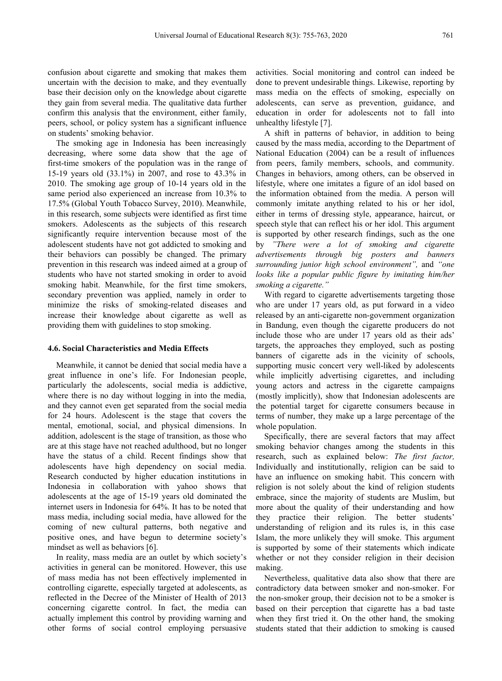confusion about cigarette and smoking that makes them uncertain with the decision to make, and they eventually base their decision only on the knowledge about cigarette they gain from several media. The qualitative data further confirm this analysis that the environment, either family, peers, school, or policy system has a significant influence on students' smoking behavior.

The smoking age in Indonesia has been increasingly decreasing, where some data show that the age of first-time smokers of the population was in the range of 15-19 years old (33.1%) in 2007, and rose to 43.3% in 2010. The smoking age group of 10-14 years old in the same period also experienced an increase from 10.3% to 17.5% (Global Youth Tobacco Survey, 2010). Meanwhile, in this research, some subjects were identified as first time smokers. Adolescents as the subjects of this research significantly require intervention because most of the adolescent students have not got addicted to smoking and their behaviors can possibly be changed. The primary prevention in this research was indeed aimed at a group of students who have not started smoking in order to avoid smoking habit. Meanwhile, for the first time smokers, secondary prevention was applied, namely in order to minimize the risks of smoking-related diseases and increase their knowledge about cigarette as well as providing them with guidelines to stop smoking.

#### **4.6. Social Characteristics and Media Effects**

Meanwhile, it cannot be denied that social media have a great influence in one's life. For Indonesian people, particularly the adolescents, social media is addictive, where there is no day without logging in into the media, and they cannot even get separated from the social media for 24 hours. Adolescent is the stage that covers the mental, emotional, social, and physical dimensions. In addition, adolescent is the stage of transition, as those who are at this stage have not reached adulthood, but no longer have the status of a child. Recent findings show that adolescents have high dependency on social media. Research conducted by higher education institutions in Indonesia in collaboration with yahoo shows that adolescents at the age of 15-19 years old dominated the internet users in Indonesia for 64%. It has to be noted that mass media, including social media, have allowed for the coming of new cultural patterns, both negative and positive ones, and have begun to determine society's mindset as well as behaviors [6].

In reality, mass media are an outlet by which society's activities in general can be monitored. However, this use of mass media has not been effectively implemented in controlling cigarette, especially targeted at adolescents, as reflected in the Decree of the Minister of Health of 2013 concerning cigarette control. In fact, the media can actually implement this control by providing warning and other forms of social control employing persuasive

activities. Social monitoring and control can indeed be done to prevent undesirable things. Likewise, reporting by mass media on the effects of smoking, especially on adolescents, can serve as prevention, guidance, and education in order for adolescents not to fall into unhealthy lifestyle [7].

A shift in patterns of behavior, in addition to being caused by the mass media, according to the Department of National Education (2004) can be a result of influences from peers, family members, schools, and community. Changes in behaviors, among others, can be observed in lifestyle, where one imitates a figure of an idol based on the information obtained from the media. A person will commonly imitate anything related to his or her idol, either in terms of dressing style, appearance, haircut, or speech style that can reflect his or her idol. This argument is supported by other research findings, such as the one by *"There were a lot of smoking and cigarette advertisements through big posters and banners surrounding junior high school environment",* and *"one looks like a popular public figure by imitating him/her smoking a cigarette."*

With regard to cigarette advertisements targeting those who are under 17 years old, as put forward in a video released by an anti-cigarette non-government organization in Bandung, even though the cigarette producers do not include those who are under 17 years old as their ads' targets, the approaches they employed, such as posting banners of cigarette ads in the vicinity of schools, supporting music concert very well-liked by adolescents while implicitly advertising cigarettes, and including young actors and actress in the cigarette campaigns (mostly implicitly), show that Indonesian adolescents are the potential target for cigarette consumers because in terms of number, they make up a large percentage of the whole population.

Specifically, there are several factors that may affect smoking behavior changes among the students in this research, such as explained below: *The first factor,* Individually and institutionally, religion can be said to have an influence on smoking habit. This concern with religion is not solely about the kind of religion students embrace, since the majority of students are Muslim, but more about the quality of their understanding and how they practice their religion. The better students' understanding of religion and its rules is, in this case Islam, the more unlikely they will smoke. This argument is supported by some of their statements which indicate whether or not they consider religion in their decision making.

Nevertheless, qualitative data also show that there are contradictory data between smoker and non-smoker. For the non-smoker group, their decision not to be a smoker is based on their perception that cigarette has a bad taste when they first tried it. On the other hand, the smoking students stated that their addiction to smoking is caused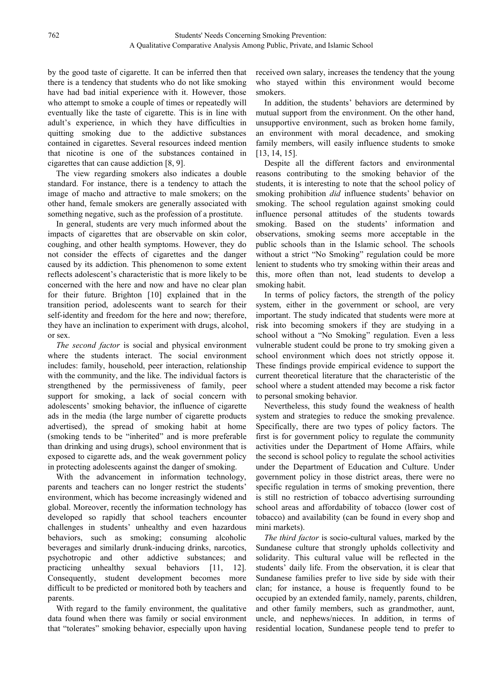by the good taste of cigarette. It can be inferred then that there is a tendency that students who do not like smoking have had bad initial experience with it. However, those who attempt to smoke a couple of times or repeatedly will eventually like the taste of cigarette. This is in line with adult's experience, in which they have difficulties in quitting smoking due to the addictive substances contained in cigarettes. Several resources indeed mention that nicotine is one of the substances contained in cigarettes that can cause addiction [8, 9].

The view regarding smokers also indicates a double standard. For instance, there is a tendency to attach the image of macho and attractive to male smokers; on the other hand, female smokers are generally associated with something negative, such as the profession of a prostitute.

In general, students are very much informed about the impacts of cigarettes that are observable on skin color, coughing, and other health symptoms.However, they do not consider the effects of cigarettes and the danger caused by its addiction. This phenomenon to some extent reflects adolescent's characteristic that is more likely to be concerned with the here and now and have no clear plan for their future. Brighton [10] explained that in the transition period, adolescents want to search for their self-identity and freedom for the here and now; therefore, they have an inclination to experiment with drugs, alcohol, or sex.

*The second factor* is social and physical environment where the students interact. The social environment includes: family, household, peer interaction, relationship with the community, and the like. The individual factors is strengthened by the permissiveness of family, peer support for smoking, a lack of social concern with adolescents' smoking behavior, the influence of cigarette ads in the media (the large number of cigarette products advertised), the spread of smoking habit at home (smoking tends to be "inherited" and is more preferable than drinking and using drugs), school environment that is exposed to cigarette ads, and the weak government policy in protecting adolescents against the danger of smoking.

With the advancement in information technology, parents and teachers can no longer restrict the students' environment, which has become increasingly widened and global. Moreover, recently the information technology has developed so rapidly that school teachers encounter challenges in students' unhealthy and even hazardous behaviors, such as smoking; consuming alcoholic beverages and similarly drunk-inducing drinks, narcotics, psychotropic and other addictive substances; and practicing unhealthy sexual behaviors [11, 12]. Consequently, student development becomes more difficult to be predicted or monitored both by teachers and parents.

With regard to the family environment, the qualitative data found when there was family or social environment that "tolerates" smoking behavior, especially upon having

received own salary, increases the tendency that the young who stayed within this environment would become smokers.

In addition, the students' behaviors are determined by mutual support from the environment. On the other hand, unsupportive environment, such as broken home family, an environment with moral decadence, and smoking family members, will easily influence students to smoke [13, 14, 15].

Despite all the different factors and environmental reasons contributing to the smoking behavior of the students, it is interesting to note that the school policy of smoking prohibition *did* influence students' behavior on smoking. The school regulation against smoking could influence personal attitudes of the students towards smoking. Based on the students' information and observations, smoking seems more acceptable in the public schools than in the Islamic school. The schools without a strict "No Smoking" regulation could be more lenient to students who try smoking within their areas and this, more often than not, lead students to develop a smoking habit.

In terms of policy factors, the strength of the policy system, either in the government or school, are very important. The study indicated that students were more at risk into becoming smokers if they are studying in a school without a "No Smoking" regulation. Even a less vulnerable student could be prone to try smoking given a school environment which does not strictly oppose it. These findings provide empirical evidence to support the current theoretical literature that the characteristic of the school where a student attended may become a risk factor to personal smoking behavior.

Nevertheless, this study found the weakness of health system and strategies to reduce the smoking prevalence. Specifically, there are two types of policy factors. The first is for government policy to regulate the community activities under the Department of Home Affairs, while the second is school policy to regulate the school activities under the Department of Education and Culture. Under government policy in those district areas, there were no specific regulation in terms of smoking prevention, there is still no restriction of tobacco advertising surrounding school areas and affordability of tobacco (lower cost of tobacco) and availability (can be found in every shop and mini markets).

*The third factor* is socio-cultural values, marked by the Sundanese culture that strongly upholds collectivity and solidarity. This cultural value will be reflected in the students' daily life. From the observation, it is clear that Sundanese families prefer to live side by side with their clan; for instance, a house is frequently found to be occupied by an extended family, namely, parents, children, and other family members, such as grandmother, aunt, uncle, and nephews/nieces. In addition, in terms of residential location, Sundanese people tend to prefer to